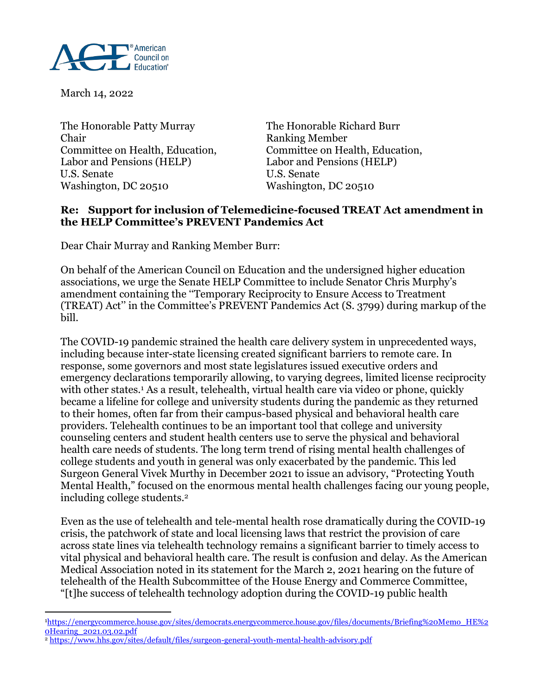

March 14, 2022

 $\overline{a}$ 

The Honorable Patty Murray The Honorable Richard Burr Chair Ranking Member Committee on Health, Education, Committee on Health, Education, Labor and Pensions (HELP) Labor and Pensions (HELP) U.S. Senate U.S. Senate Washington, DC 20510 Washington, DC 20510

## **Re: Support for inclusion of Telemedicine-focused TREAT Act amendment in the HELP Committee's PREVENT Pandemics Act**

Dear Chair Murray and Ranking Member Burr:

On behalf of the American Council on Education and the undersigned higher education associations, we urge the Senate HELP Committee to include Senator Chris Murphy's amendment containing the ''Temporary Reciprocity to Ensure Access to Treatment (TREAT) Act'' in the Committee's PREVENT Pandemics Act (S. 3799) during markup of the bill.

The COVID-19 pandemic strained the health care delivery system in unprecedented ways, including because inter-state licensing created significant barriers to remote care. In response, some governors and most state legislatures issued executive orders and emergency declarations temporarily allowing, to varying degrees, limited license reciprocity with other states.<sup>1</sup> As a result, telehealth, virtual health care via video or phone, quickly became a lifeline for college and university students during the pandemic as they returned to their homes, often far from their campus-based physical and behavioral health care providers. Telehealth continues to be an important tool that college and university counseling centers and student health centers use to serve the physical and behavioral health care needs of students. The long term trend of rising mental health challenges of college students and youth in general was only exacerbated by the pandemic. This led Surgeon General Vivek Murthy in December 2021 to issue an advisory, "Protecting Youth Mental Health," focused on the enormous mental health challenges facing our young people, including college students. 2

Even as the use of telehealth and tele-mental health rose dramatically during the COVID-19 crisis, the patchwork of state and local licensing laws that restrict the provision of care across state lines via telehealth technology remains a significant barrier to timely access to vital physical and behavioral health care. The result is confusion and delay. As the American Medical Association noted in its statement for the March 2, 2021 hearing on the future of telehealth of the Health Subcommittee of the House Energy and Commerce Committee, "[t]he success of telehealth technology adoption during the COVID-19 public health

<sup>1</sup>[https://energycommerce.house.gov/sites/democrats.energycommerce.house.gov/files/documents/Briefing%20Memo\\_HE%2](https://energycommerce.house.gov/sites/democrats.energycommerce.house.gov/files/documents/Briefing%20Memo_HE%20Hearing_2021.03.02.pdf) [0Hearing\\_2021.03.02.pdf](https://energycommerce.house.gov/sites/democrats.energycommerce.house.gov/files/documents/Briefing%20Memo_HE%20Hearing_2021.03.02.pdf)

<sup>2</sup> <https://www.hhs.gov/sites/default/files/surgeon-general-youth-mental-health-advisory.pdf>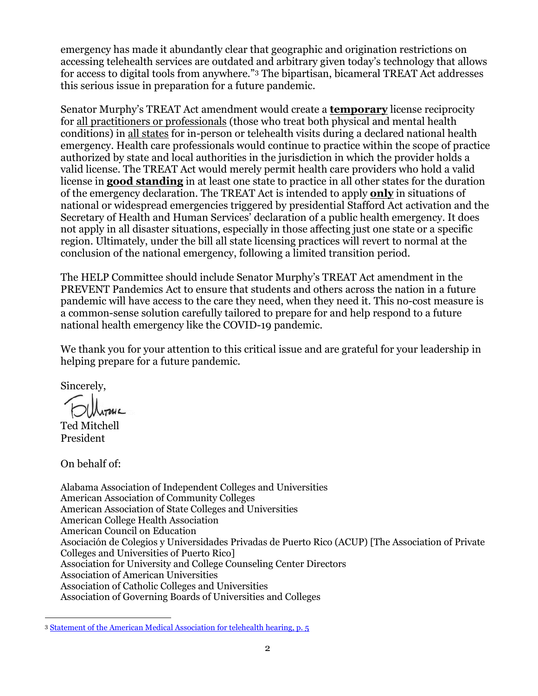emergency has made it abundantly clear that geographic and origination restrictions on accessing telehealth services are outdated and arbitrary given today's technology that allows for access to digital tools from anywhere."<sup>3</sup> The bipartisan, bicameral TREAT Act addresses this serious issue in preparation for a future pandemic.

Senator Murphy's TREAT Act amendment would create a **temporary** license reciprocity for all practitioners or professionals (those who treat both physical and mental health conditions) in all states for in-person or telehealth visits during a declared national health emergency. Health care professionals would continue to practice within the scope of practice authorized by state and local authorities in the jurisdiction in which the provider holds a valid license. The TREAT Act would merely permit health care providers who hold a valid license in **good standing** in at least one state to practice in all other states for the duration of the emergency declaration. The TREAT Act is intended to apply **only** in situations of national or widespread emergencies triggered by presidential Stafford Act activation and the Secretary of Health and Human Services' declaration of a public health emergency. It does not apply in all disaster situations, especially in those affecting just one state or a specific region. Ultimately, under the bill all state licensing practices will revert to normal at the conclusion of the national emergency, following a limited transition period.

The HELP Committee should include Senator Murphy's TREAT Act amendment in the PREVENT Pandemics Act to ensure that students and others across the nation in a future pandemic will have access to the care they need, when they need it. This no-cost measure is a common-sense solution carefully tailored to prepare for and help respond to a future national health emergency like the COVID-19 pandemic.

We thank you for your attention to this critical issue and are grateful for your leadership in helping prepare for a future pandemic.

Sincerely,

Ted Mitchell President

On behalf of:

 $\overline{a}$ 

Alabama Association of Independent Colleges and Universities American Association of Community Colleges American Association of State Colleges and Universities American College Health Association American Council on Education Asociación de Colegios y Universidades Privadas de Puerto Rico (ACUP) [The Association of Private Colleges and Universities of Puerto Rico] Association for University and College Counseling Center Directors Association of American Universities Association of Catholic Colleges and Universities Association of Governing Boards of Universities and Colleges

<sup>3</sup> [Statement of the American Medical Association for telehealth hearing, p. 5](https://energycommerce.house.gov/sites/democrats.energycommerce.house.gov/files/documents/Witness%20Testimony_Resneck_HE_2021.03.02.pdf)